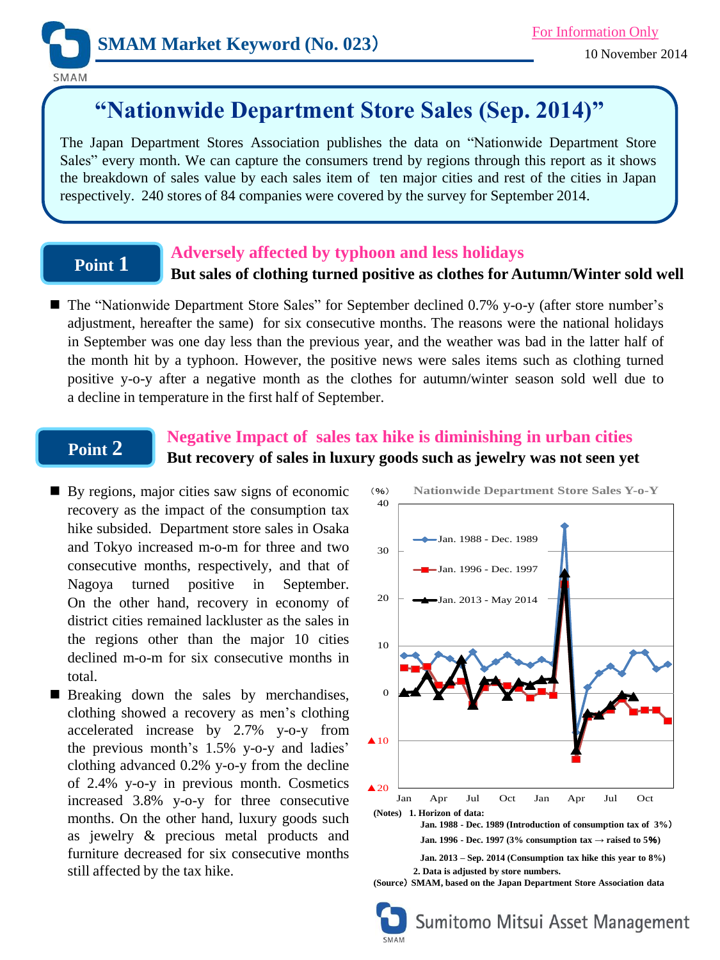

# **"Nationwide Department Store Sales (Sep. 2014)"**

The Japan Department Stores Association publishes the data on "Nationwide Department Store Sales" every month. We can capture the consumers trend by regions through this report as it shows the breakdown of sales value by each sales item of ten major cities and rest of the cities in Japan respectively. 240 stores of 84 companies were covered by the survey for September 2014.

# **Point 1**

## **Adversely affected by typhoon and less holidays**

### **But sales of clothing turned positive as clothes for Autumn/Winter sold well**

■ The "Nationwide Department Store Sales" for September declined 0.7% y-o-y (after store number's adjustment, hereafter the same) for six consecutive months. The reasons were the national holidays in September was one day less than the previous year, and the weather was bad in the latter half of the month hit by a typhoon. However, the positive news were sales items such as clothing turned positive y-o-y after a negative month as the clothes for autumn/winter season sold well due to a decline in temperature in the first half of September.

# **Point 2**

## **Negative Impact of sales tax hike is diminishing in urban cities But recovery of sales in luxury goods such as jewelry was not seen yet**

- By regions, major cities saw signs of economic recovery as the impact of the consumption tax hike subsided. Department store sales in Osaka and Tokyo increased m-o-m for three and two consecutive months, respectively, and that of Nagoya turned positive in September. On the other hand, recovery in economy of district cities remained lackluster as the sales in the regions other than the major 10 cities declined m-o-m for six consecutive months in total.
- **Breaking down the sales by merchandises,** clothing showed a recovery as men's clothing accelerated increase by 2.7% y-o-y from the previous month's 1.5% y-o-y and ladies' clothing advanced 0.2% y-o-y from the decline of 2.4% y-o-y in previous month. Cosmetics increased 3.8% y-o-y for three consecutive months. On the other hand, luxury goods such as jewelry & precious metal products and furniture decreased for six consecutive months still affected by the tax hike.



**(Source**) **SMAM, based on the Japan Department Store Association data**